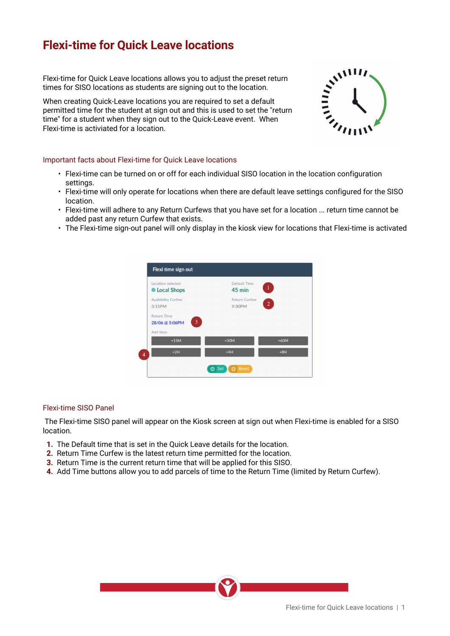## **Flexi-time for Quick Leave locations**

times for SISO locations as students are signing out to the location.

Flexi-time for Quick Leave locations allows you to adjust the preset return<br>times for SISO locations as students are signing out to the location.<br>When creating Quick-Leave locations you are required<br>permitted time for the When creating Quick-Leave locations you are required to set a default permitted time for the student at sign out and this is used to set the "return time" for a student when they sign out to the Quick-Leave event. When Flexi-time is activiated for a location.



## Important facts about Flexi-time for Quick Leave locations

- Flexi-time can be turned on or off for each individual SISO location in the location configuration settings.
- Flexi-time will only operate for locations when there are default leave settings configured for the SISO location.
- Flexi-time will adhere to any Return Curfews that you have set for a location ... return time cannot be added past any return Curfew that exists.
- The Flexi-time sign-out panel will only display in the kiosk view for locations that Flexi-time is activated



## Flexi-time SISO Panel

 The Flexi-time SISO panel will appear on the Kiosk screen at sign out when Flexi-time is enabled for a SISO location.

- **1.**  The Default time that is set in the Quick Leave details for the location.
- **2.** Return Time Curfew is the latest return time permitted for the location.
- **3.** Return Time is the current return time that will be applied for this SISO.
- **4.**  Add Time buttons allow you to add parcels of time to the Return Time (limited by Return Curfew).